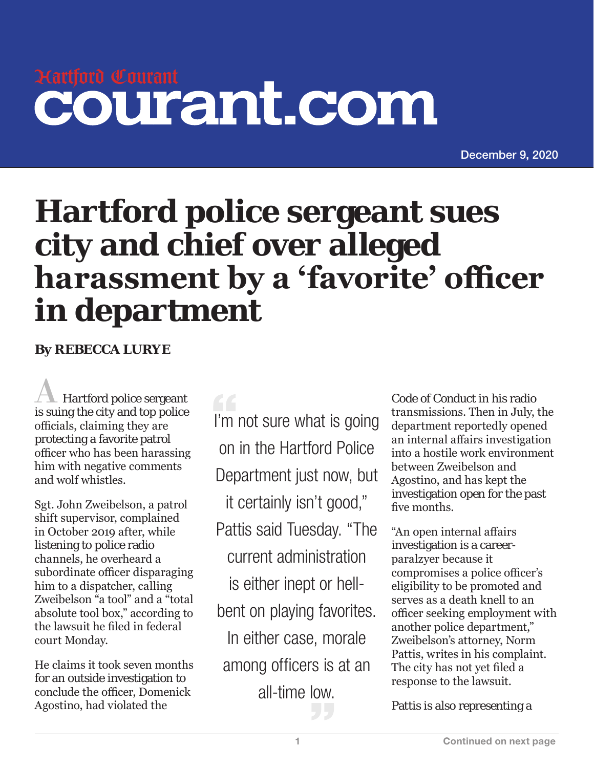## Hartford Courant courant.com

December 9, 2020

## **Hartford police sergeant sues city and chief over alleged harassment by a 'favorite' officer in department**

**By REBECCA LURYE**

A Hartford police sergeant is suing the city and top police officials, claiming they are protecting a favorite patrol officer who has been harassing him with negative comments and wolf whistles.

Sgt. John Zweibelson, a patrol shift supervisor, complained in October 2019 after, while listening to police radio channels, he overheard a subordinate officer disparaging him to a dispatcher, calling Zweibelson "a tool" and a "total absolute tool box," according to the lawsuit he filed in federal court Monday.

He claims it took seven months for an outside investigation to conclude the officer, Domenick Agostino, had violated the

I'm not sure what is going on in the Hartford Police Department just now, but it certainly isn't good," Pattis said Tuesday. "The current administration is either inept or hellbent on playing favorites. In either case, morale among officers is at an all-time low.

Code of Conduct in his radio transmissions. Then in July, the department reportedly opened an internal affairs investigation into a hostile work environment between Zweibelson and Agostino, and has kept the investigation open for the past five months.

"An open internal affairs investigation is a careerparalzyer because it compromises a police officer's eligibility to be promoted and serves as a death knell to an officer seeking employment with another police department," Zweibelson's attorney, Norm Pattis, writes in his complaint. The city has not yet filed a response to the lawsuit.

Pattis is also representing a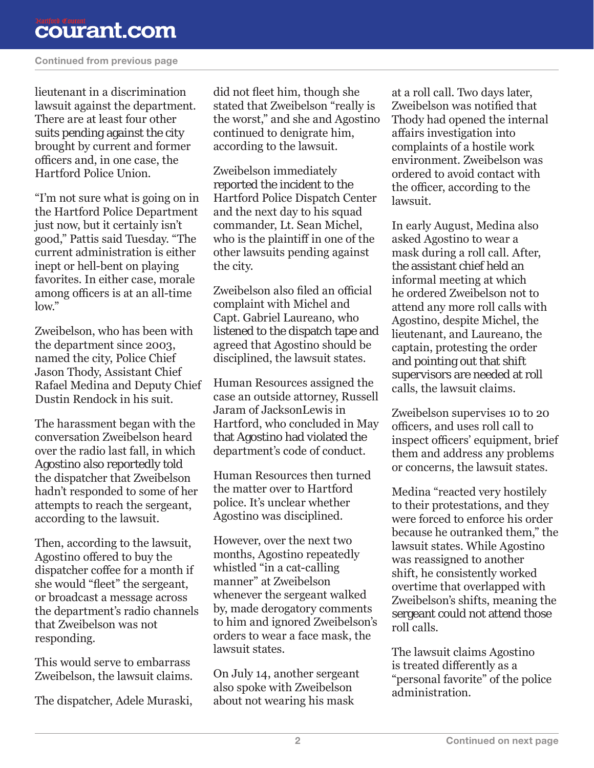## courant.com

## Continued from previous page

lieutenant in a discrimination lawsuit against the department. There are at least four other suits pending against the city brought by current and former officers and, in one case, the Hartford Police Union.

"I'm not sure what is going on in the Hartford Police Department just now, but it certainly isn't good," Pattis said Tuesday. "The current administration is either inept or hell-bent on playing favorites. In either case, morale among officers is at an all-time  $low''$ 

Zweibelson, who has been with the department since 2003, named the city, Police Chief Jason Thody, Assistant Chief Rafael Medina and Deputy Chief Dustin Rendock in his suit.

The harassment began with the conversation Zweibelson heard over the radio last fall, in which Agostino also reportedly told the dispatcher that Zweibelson hadn't responded to some of her attempts to reach the sergeant, according to the lawsuit.

Then, according to the lawsuit, Agostino offered to buy the dispatcher coffee for a month if she would "fleet" the sergeant, or broadcast a message across the department's radio channels that Zweibelson was not responding.

This would serve to embarrass Zweibelson, the lawsuit claims.

The dispatcher, Adele Muraski,

did not fleet him, though she stated that Zweibelson "really is the worst," and she and Agostino continued to denigrate him, according to the lawsuit.

Zweibelson immediately reported the incident to the Hartford Police Dispatch Center and the next day to his squad commander, Lt. Sean Michel, who is the plaintiff in one of the other lawsuits pending against the city.

Zweibelson also filed an official complaint with Michel and Capt. Gabriel Laureano, who listened to the dispatch tape and agreed that Agostino should be disciplined, the lawsuit states.

Human Resources assigned the case an outside attorney, Russell Jaram of JacksonLewis in Hartford, who concluded in May that Agostino had violated the department's code of conduct.

Human Resources then turned the matter over to Hartford police. It's unclear whether Agostino was disciplined.

However, over the next two months, Agostino repeatedly whistled "in a cat-calling manner" at Zweibelson whenever the sergeant walked by, made derogatory comments to him and ignored Zweibelson's orders to wear a face mask, the lawsuit states.

On July 14, another sergeant also spoke with Zweibelson about not wearing his mask

at a roll call. Two days later, Zweibelson was notified that Thody had opened the internal affairs investigation into complaints of a hostile work environment. Zweibelson was ordered to avoid contact with the officer, according to the lawsuit.

In early August, Medina also asked Agostino to wear a mask during a roll call. After, the assistant chief held an informal meeting at which he ordered Zweibelson not to attend any more roll calls with Agostino, despite Michel, the lieutenant, and Laureano, the captain, protesting the order and pointing out that shift supervisors are needed at roll calls, the lawsuit claims.

Zweibelson supervises 10 to 20 officers, and uses roll call to inspect officers' equipment, brief them and address any problems or concerns, the lawsuit states.

Medina "reacted very hostilely to their protestations, and they were forced to enforce his order because he outranked them," the lawsuit states. While Agostino was reassigned to another shift, he consistently worked overtime that overlapped with Zweibelson's shifts, meaning the sergeant could not attend those roll calls.

The lawsuit claims Agostino is treated differently as a "personal favorite" of the police administration.